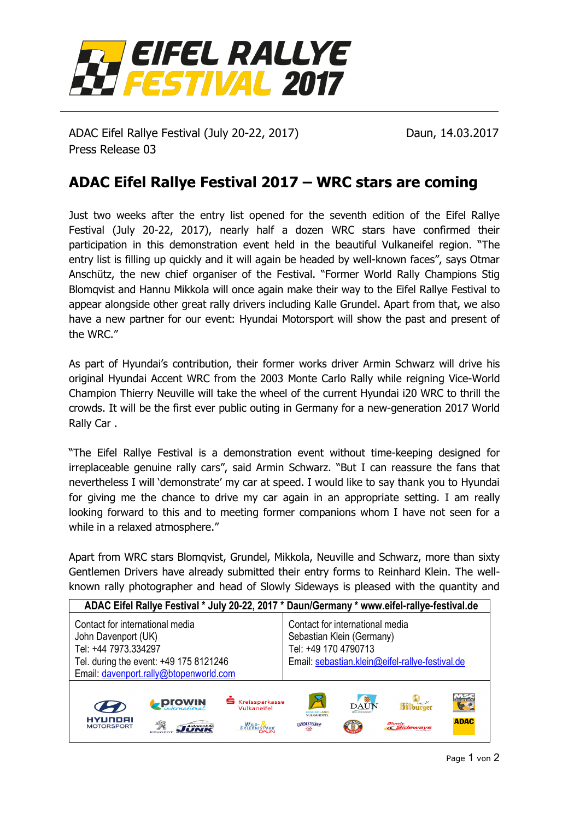

ADAC Eifel Rallye Festival (July 20-22, 2017) Daun, 14.03.2017 Press Release 03

## **ADAC Eifel Rallye Festival 2017 – WRC stars are coming**

Just two weeks after the entry list opened for the seventh edition of the Eifel Rallye Festival (July 20-22, 2017), nearly half a dozen WRC stars have confirmed their participation in this demonstration event held in the beautiful Vulkaneifel region. "The entry list is filling up quickly and it will again be headed by well-known faces", says Otmar Anschütz, the new chief organiser of the Festival. "Former World Rally Champions Stig Blomqvist and Hannu Mikkola will once again make their way to the Eifel Rallye Festival to appear alongside other great rally drivers including Kalle Grundel. Apart from that, we also have a new partner for our event: Hyundai Motorsport will show the past and present of the WRC."

As part of Hyundai's contribution, their former works driver Armin Schwarz will drive his original Hyundai Accent WRC from the 2003 Monte Carlo Rally while reigning Vice-World Champion Thierry Neuville will take the wheel of the current Hyundai i20 WRC to thrill the crowds. It will be the first ever public outing in Germany for a new-generation 2017 World Rally Car .

"The Eifel Rallye Festival is a demonstration event without time-keeping designed for irreplaceable genuine rally cars", said Armin Schwarz. "But I can reassure the fans that nevertheless I will 'demonstrate' my car at speed. I would like to say thank you to Hyundai for giving me the chance to drive my car again in an appropriate setting. I am really looking forward to this and to meeting former companions whom I have not seen for a while in a relaxed atmosphere."

Apart from WRC stars Blomqvist, Grundel, Mikkola, Neuville and Schwarz, more than sixty Gentlemen Drivers have already submitted their entry forms to Reinhard Klein. The wellknown rally photographer and head of Slowly Sideways is pleased with the quantity and

| ADAC Eifel Rallye Festival * July 20-22, 2017 * Daun/Germany * www.eifel-rallye-festival.de                                                                        |               |                                                     |                                                                                                                                         |             |                                                        |                                     |
|--------------------------------------------------------------------------------------------------------------------------------------------------------------------|---------------|-----------------------------------------------------|-----------------------------------------------------------------------------------------------------------------------------------------|-------------|--------------------------------------------------------|-------------------------------------|
| Contact for international media<br>John Davenport (UK)<br>Tel: +44 7973.334297<br>Tel. during the event: +49 175 8121246<br>Email: davenport.rally@btopenworld.com |               |                                                     | Contact for international media<br>Sebastian Klein (Germany)<br>Tel: +49 170 4790713<br>Email: sebastian.klein@eifel-rallye-festival.de |             |                                                        |                                     |
| <b>HYUNDAI</b><br><b>MOTORSPORT</b>                                                                                                                                | <b>ProWIN</b> | <b>S</b> Kreissparkasse<br>Vulkaneifel<br>WILD-RARK | $\boldsymbol{\mathcal{Z}}$<br><b><i>GESLINDI AND</i></b><br><b>VULKANEIFEL</b><br><b>GEROLSTEINER</b>                                   | <b>DAUN</b> | <b>Sithurner</b><br><b>Slowly</b><br><b>« Sideways</b> | MSC<br>Daun e.<br>50<br><b>ADAC</b> |